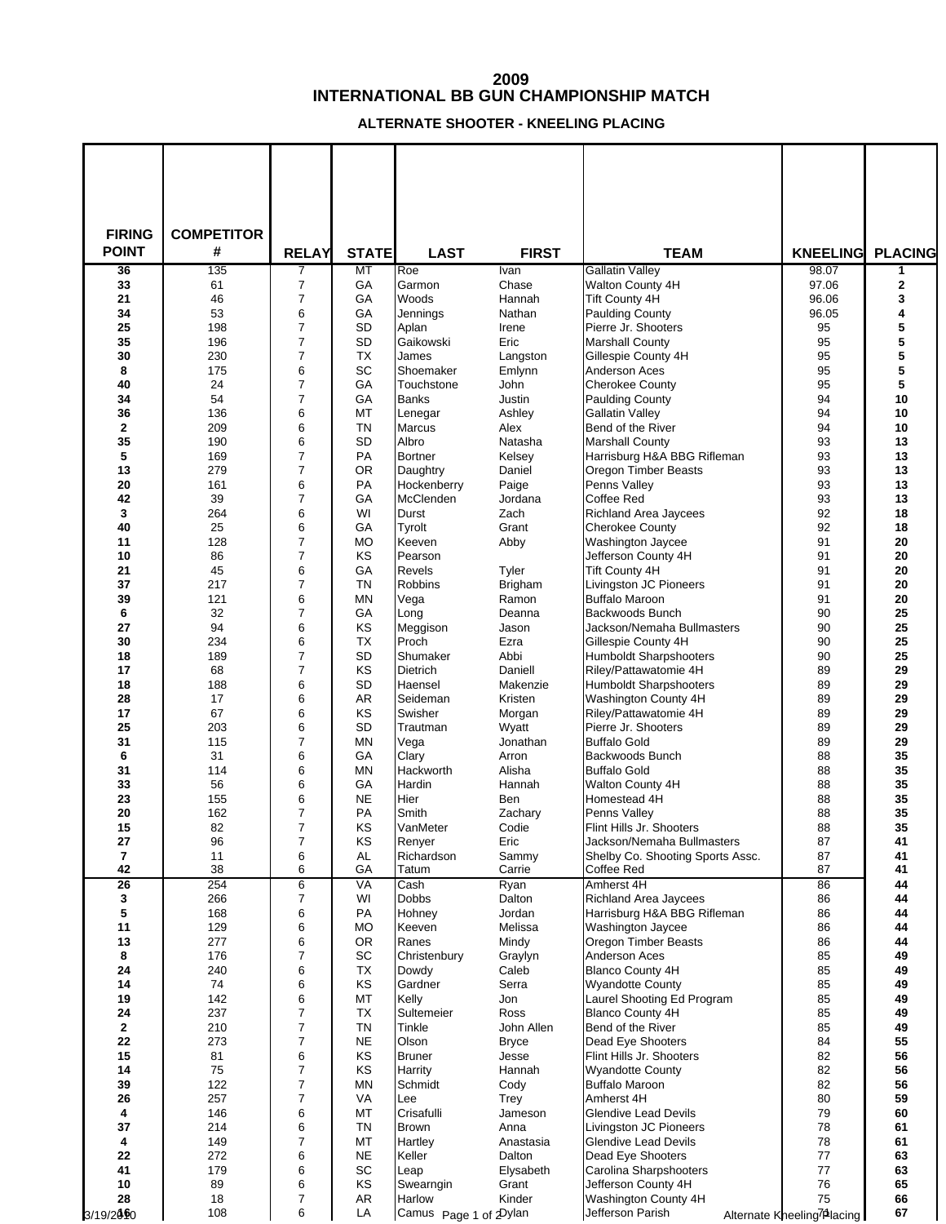## **INTERNATIONAL BB GUN CHAMPIONSHIP MATCH**

**ALTERNATE SHOOTER - KNEELING PLACING**

| <b>FIRING</b>      | <b>COMPETITOR</b> |                     |                    |                             |                            |                                                 |                                         |                       |
|--------------------|-------------------|---------------------|--------------------|-----------------------------|----------------------------|-------------------------------------------------|-----------------------------------------|-----------------------|
| <b>POINT</b>       | #<br>135          | <b>RELAY</b>        | <b>STATE</b><br>MT | <b>LAST</b>                 | <b>FIRST</b>               | <b>TEAM</b><br><b>Gallatin Valley</b>           | <b>KNEELING</b><br>98.07                | <b>PLACING</b>        |
| 36<br>33           | 61                | 7<br>$\overline{7}$ | GА                 | Roe<br>Garmon               | Ivan<br>Chase              | Walton County 4H                                | 97.06                                   | 1<br>$\boldsymbol{2}$ |
| 21                 | 46                | 7                   | GА                 | Woods                       | Hannah                     | <b>Tift County 4H</b>                           | 96.06                                   | 3                     |
| 34                 | 53                | 6                   | GA                 | Jennings                    | Nathan                     | <b>Paulding County</b>                          | 96.05                                   | 4                     |
| 25<br>35           | 198<br>196        | 7<br>7              | <b>SD</b><br>SD    | Aplan<br>Gaikowski          | Irene<br>Eric              | Pierre Jr. Shooters<br><b>Marshall County</b>   | 95<br>95                                | 5<br>5                |
| 30                 | 230               | 7                   | <b>TX</b>          | James                       | Langston                   | Gillespie County 4H                             | 95                                      | 5                     |
| 8                  | 175               | 6                   | SC                 | Shoemaker                   | Emlynn                     | Anderson Aces                                   | 95                                      | 5                     |
| 40                 | 24                | 7                   | GA                 | Touchstone                  | John                       | <b>Cherokee County</b>                          | 95                                      | 5                     |
| 34                 | 54                | $\overline{7}$<br>6 | GA                 | Banks                       | Justin                     | <b>Paulding County</b>                          | 94<br>94                                | 10                    |
| 36<br>$\mathbf{2}$ | 136<br>209        | 6                   | МT<br><b>TN</b>    | Lenegar<br>Marcus           | Ashley<br>Alex             | <b>Gallatin Valley</b><br>Bend of the River     | 94                                      | 10<br>10              |
| 35                 | 190               | 6                   | SD                 | Albro                       | Natasha                    | <b>Marshall County</b>                          | 93                                      | 13                    |
| 5                  | 169               | 7                   | PA                 | <b>Bortner</b>              | Kelsey                     | Harrisburg H&A BBG Rifleman                     | 93                                      | 13                    |
| 13                 | 279               | $\overline{7}$      | 0R                 | Daughtry                    | Daniel                     | Oregon Timber Beasts                            | 93                                      | 13                    |
| 20<br>42           | 161<br>39         | 6<br>$\overline{7}$ | PA<br>GA           | Hockenberry<br>McClenden    | Paige                      | Penns Valley<br>Coffee Red                      | 93<br>93                                | 13<br>13              |
| 3                  | 264               | 6                   | WI                 | Durst                       | Jordana<br>Zach            | Richland Area Jaycees                           | 92                                      | 18                    |
| 40                 | 25                | 6                   | GА                 | Tyrolt                      | Grant                      | <b>Cherokee County</b>                          | 92                                      | 18                    |
| 11                 | 128               | 7                   | <b>MO</b>          | Keeven                      | Abby                       | Washington Jaycee                               | 91                                      | 20                    |
| 10                 | 86                | $\overline{7}$      | KS                 | Pearson                     |                            | Jefferson County 4H                             | 91                                      | 20                    |
| 21<br>37           | 45<br>217         | 6<br>$\overline{7}$ | GA<br><b>TN</b>    | Revels<br><b>Robbins</b>    | Tyler<br><b>Brigham</b>    | Tift County 4H<br>Livingston JC Pioneers        | 91<br>91                                | 20<br>20              |
| 39                 | 121               | 6                   | ΜN                 | Vega                        | Ramon                      | <b>Buffalo Maroon</b>                           | 91                                      | 20                    |
| 6                  | 32                | $\overline{7}$      | GА                 | Long                        | Deanna                     | Backwoods Bunch                                 | 90                                      | 25                    |
| 27                 | 94                | 6                   | ΚS                 | Meggison                    | Jason                      | Jackson/Nemaha Bullmasters                      | 90                                      | 25                    |
| 30<br>18           | 234<br>189        | 6<br>$\overline{7}$ | ТX<br><b>SD</b>    | Proch                       | Ezra                       | Gillespie County 4H                             | 90<br>90                                | 25                    |
| 17                 | 68                | $\overline{7}$      | KS                 | Shumaker<br><b>Dietrich</b> | Abbi<br>Daniell            | Humboldt Sharpshooters<br>Riley/Pattawatomie 4H | 89                                      | 25<br>29              |
| 18                 | 188               | 6                   | SD                 | Haensel                     | Makenzie                   | Humboldt Sharpshooters                          | 89                                      | 29                    |
| 28                 | 17                | 6                   | AR                 | Seideman                    | Kristen                    | Washington County 4H                            | 89                                      | 29                    |
| 17                 | 67                | 6                   | KS                 | Swisher                     | Morgan                     | Riley/Pattawatomie 4H                           | 89                                      | 29                    |
| 25<br>31           | 203<br>115        | 6<br>$\overline{7}$ | SD<br>ΜN           | Trautman<br>Vega            | Wyatt<br>Jonathan          | Pierre Jr. Shooters<br><b>Buffalo Gold</b>      | 89<br>89                                | 29<br>29              |
| 6                  | 31                | 6                   | GA                 | Clary                       | Arron                      | Backwoods Bunch                                 | 88                                      | 35                    |
| 31                 | 114               | 6                   | ΜN                 | Hackworth                   | Alisha                     | <b>Buffalo Gold</b>                             | 88                                      | 35                    |
| 33                 | 56                | 6                   | GА                 | Hardin                      | Hannah                     | <b>Walton County 4H</b>                         | 88                                      | 35                    |
| 23<br>20           | 155<br>162        | 6<br>$\overline{7}$ | <b>NE</b><br>PA    | Hier<br>Smith               | Ben<br>Zachary             | Homestead 4H                                    | 88<br>88                                | 35<br>35              |
| 15                 | 82                | $\overline{7}$      | KS                 | VanMeter                    | Codie                      | Penns Valley<br>Flint Hills Jr. Shooters        | 88                                      | 35                    |
| 27                 | 96                | 7                   | KS                 | Renyer                      | Eric                       | Jackson/Nemaha Bullmasters                      | 87                                      | 41                    |
| 7                  | 11                | 6                   | AL                 | Richardson                  | Sammy                      | Shelby Co. Shooting Sports Assc.                | 87                                      | 41                    |
| 42                 | 38                | 6                   | GА                 | Tatum                       | Carrie                     | Coffee Red                                      | 87                                      | 41                    |
| 26<br>3            | 254<br>266        | 6<br>7              | VA<br>WI           | Cash<br>Dobbs               | Ryan<br>Dalton             | Amherst 4H<br><b>Richland Area Jaycees</b>      | 86<br>86                                | 44<br>44              |
| 5                  | 168               | 6                   | PA                 | Hohney                      | Jordan                     | Harrisburg H&A BBG Rifleman                     | 86                                      | 44                    |
| 11                 | 129               | 6                   | МO                 | Keeven                      | Melissa                    | Washington Jaycee                               | 86                                      | 44                    |
| 13                 | 277               | 6                   | <b>OR</b>          | Ranes                       | Mindy                      | Oregon Timber Beasts                            | 86                                      | 44                    |
| 8<br>24            | 176<br>240        | 7<br>6              | SC<br>ТX           | Christenbury<br>Dowdy       | Graylyn<br>Caleb           | Anderson Aces<br><b>Blanco County 4H</b>        | 85<br>85                                | 49<br>49              |
| 14                 | 74                | 6                   | ΚS                 | Gardner                     | Serra                      | <b>Wyandotte County</b>                         | 85                                      | 49                    |
| 19                 | 142               | 6                   | МT                 | Kelly                       | Jon                        | Laurel Shooting Ed Program                      | 85                                      | 49                    |
| 24                 | 237               | 7                   | ТX                 | Sultemeier                  | Ross                       | <b>Blanco County 4H</b>                         | 85                                      | 49                    |
| $\mathbf 2$<br>22  | 210<br>273        | 7<br>7              | TN<br>NE           | Tinkle<br>Olson             | John Allen<br><b>Bryce</b> | Bend of the River<br>Dead Eye Shooters          | 85<br>84                                | 49<br>55              |
| 15                 | 81                | 6                   | KS                 | <b>Bruner</b>               | Jesse                      | Flint Hills Jr. Shooters                        | 82                                      | 56                    |
| 14                 | 75                | 7                   | ΚS                 | Harrity                     | Hannah                     | <b>Wyandotte County</b>                         | 82                                      | 56                    |
| 39                 | 122               | 7                   | ΜN                 | Schmidt                     | Cody                       | <b>Buffalo Maroon</b>                           | 82                                      | 56                    |
| 26<br>4            | 257<br>146        | 7<br>6              | VA<br>MT           | Lee<br>Crisafulli           | Trey<br>Jameson            | Amherst 4H<br><b>Glendive Lead Devils</b>       | 80<br>79                                | 59<br>60              |
| 37                 | 214               | 6                   | TN                 | <b>Brown</b>                | Anna                       | Livingston JC Pioneers                          | 78                                      | 61                    |
| 4                  | 149               | 7                   | МT                 | Hartley                     | Anastasia                  | Glendive Lead Devils                            | 78                                      | 61                    |
| 22                 | 272               | 6                   | NE                 | Keller                      | Dalton                     | Dead Eye Shooters                               | 77                                      | 63                    |
| 41<br>10           | 179<br>89         | 6<br>6              | SC<br>KS           | Leap<br>Swearngin           | Elysabeth<br>Grant         | Carolina Sharpshooters<br>Jefferson County 4H   | 77<br>76                                | 63<br>65              |
| 28                 | 18                | 7                   | AR                 | Harlow                      | Kinder                     | Washington County 4H                            | 75                                      | 66                    |
| 3/19/2000          | 108               | 6                   | LA                 | Camus Page 1 of 2 Dylan     |                            | Jefferson Parish                                | Alternate Kneeling <sup>7</sup> Placing | 67                    |